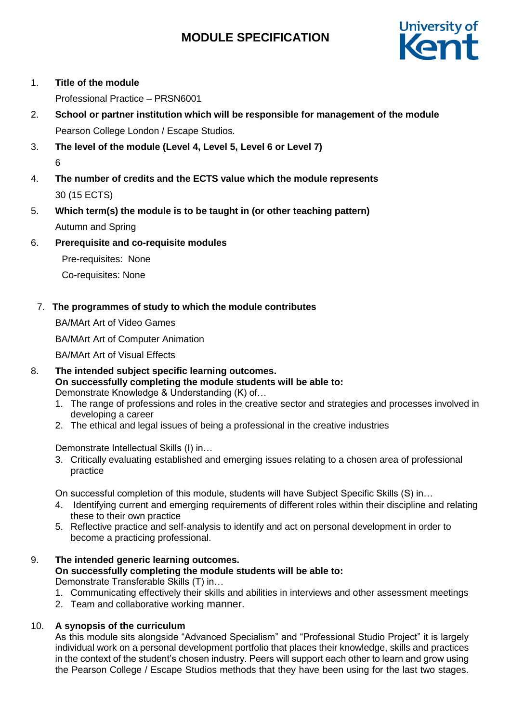

# 1. **Title of the module**

Professional Practice – PRSN6001

- 2. **School or partner institution which will be responsible for management of the module** Pearson College London / Escape Studios*.*
- 3. **The level of the module (Level 4, Level 5, Level 6 or Level 7)** 6
- 4. **The number of credits and the ECTS value which the module represents**  30 (15 ECTS)
- 5. **Which term(s) the module is to be taught in (or other teaching pattern)** Autumn and Spring
- 6. **Prerequisite and co-requisite modules**

Pre-requisites: None

Co-requisites: None

7. **The programmes of study to which the module contributes**

BA/MArt Art of Video Games

BA/MArt Art of Computer Animation

BA/MArt Art of Visual Effects

- 8. **The intended subject specific learning outcomes. On successfully completing the module students will be able to:** Demonstrate Knowledge & Understanding (K) of…
	- 1. The range of professions and roles in the creative sector and strategies and processes involved in developing a career
	- 2. The ethical and legal issues of being a professional in the creative industries

Demonstrate Intellectual Skills (I) in…

3. Critically evaluating established and emerging issues relating to a chosen area of professional practice

On successful completion of this module, students will have Subject Specific Skills (S) in…

- 4. Identifying current and emerging requirements of different roles within their discipline and relating these to their own practice
- 5. Reflective practice and self-analysis to identify and act on personal development in order to become a practicing professional.
- 9. **The intended generic learning outcomes.**

**On successfully completing the module students will be able to:** Demonstrate Transferable Skills (T) in…

- 1. Communicating effectively their skills and abilities in interviews and other assessment meetings
- 2. Team and collaborative working manner.

# 10. **A synopsis of the curriculum**

As this module sits alongside "Advanced Specialism" and "Professional Studio Project" it is largely individual work on a personal development portfolio that places their knowledge, skills and practices in the context of the student's chosen industry. Peers will support each other to learn and grow using the Pearson College / Escape Studios methods that they have been using for the last two stages.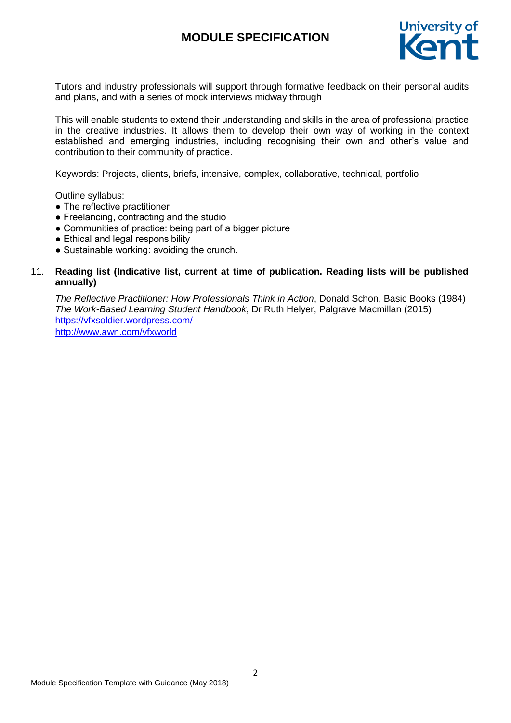

Tutors and industry professionals will support through formative feedback on their personal audits and plans, and with a series of mock interviews midway through

This will enable students to extend their understanding and skills in the area of professional practice in the creative industries. It allows them to develop their own way of working in the context established and emerging industries, including recognising their own and other's value and contribution to their community of practice.

Keywords: Projects, clients, briefs, intensive, complex, collaborative, technical, portfolio

Outline syllabus:

- The reflective practitioner
- Freelancing, contracting and the studio
- Communities of practice: being part of a bigger picture
- Ethical and legal responsibility
- Sustainable working: avoiding the crunch.

## 11. **Reading list (Indicative list, current at time of publication. Reading lists will be published annually)**

*The Reflective Practitioner: How Professionals Think in Action*, Donald Schon, Basic Books (1984) *The Work-Based Learning Student Handbook*, Dr Ruth Helyer, Palgrave Macmillan (2015) <https://vfxsoldier.wordpress.com/> <http://www.awn.com/vfxworld>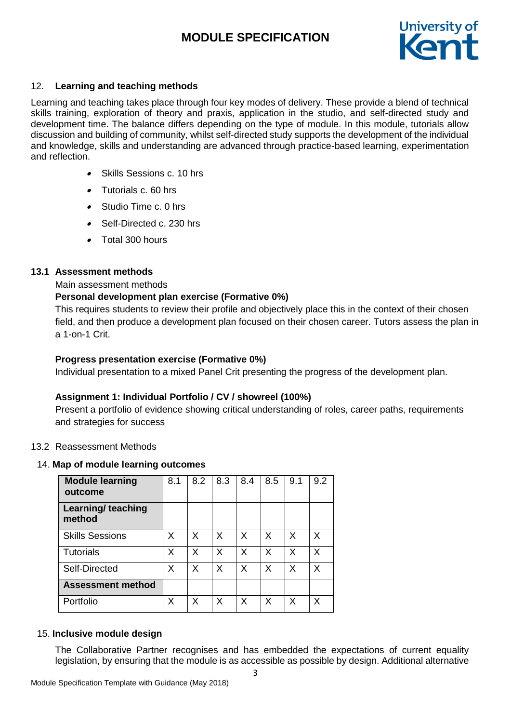

# 12. **Learning and teaching methods**

Learning and teaching takes place through four key modes of delivery. These provide a blend of technical skills training, exploration of theory and praxis, application in the studio, and self-directed study and development time. The balance differs depending on the type of module. In this module, tutorials allow discussion and building of community, whilst self-directed study supports the development of the individual and knowledge, skills and understanding are advanced through practice-based learning, experimentation and reflection.

- . Skills Sessions c. 10 hrs
- Tutorials c. 60 hrs
- . Studio Time c. 0 hrs
- Self-Directed c. 230 hrs
- Total 300 hours

#### **13.1 Assessment methods**

Main assessment methods

## **Personal development plan exercise (Formative 0%)**

This requires students to review their profile and objectively place this in the context of their chosen field, and then produce a development plan focused on their chosen career. Tutors assess the plan in a 1-on-1 Crit.

## **Progress presentation exercise (Formative 0%)**

Individual presentation to a mixed Panel Crit presenting the progress of the development plan.

# **Assignment 1: Individual Portfolio / CV / showreel (100%)**

Present a portfolio of evidence showing critical understanding of roles, career paths, requirements and strategies for success

#### 13.2 Reassessment Methods

#### 14. **Map of module learning outcomes**

| <b>Module learning</b><br>outcome | 8.1 | 8.2 | 8.3 | 8.4 | 8.5 | 9.1     | 9.2 |
|-----------------------------------|-----|-----|-----|-----|-----|---------|-----|
| Learning/ teaching<br>method      |     |     |     |     |     |         |     |
| <b>Skills Sessions</b>            | X   | X   | X   | X   | X   | X       | X   |
| <b>Tutorials</b>                  | Х   | X   | X   | X   | X   | X       | X   |
| Self-Directed                     | X   | X   | X   | X   | X   | $\sf X$ | X   |
| <b>Assessment method</b>          |     |     |     |     |     |         |     |
| Portfolio                         | Х   | X   | X   | X   | X   | X       | х   |

#### 15. **Inclusive module design**

The Collaborative Partner recognises and has embedded the expectations of current equality legislation, by ensuring that the module is as accessible as possible by design. Additional alternative